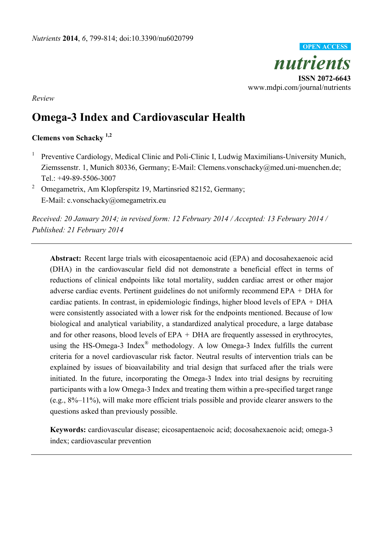

*Review* 

# **Omega-3 Index and Cardiovascular Health**

# **Clemens von Schacky 1,2**

1 Preventive Cardiology, Medical Clinic and Poli-Clinic I, Ludwig Maximilians-University Munich, Ziemssenstr. 1, Munich 80336, Germany; E-Mail: Clemens.vonschacky@med.uni-muenchen.de; Tel.: +49-89-5506-3007

2 Omegametrix, Am Klopferspitz 19, Martinsried 82152, Germany; E-Mail: c.vonschacky@omegametrix.eu

*Received: 20 January 2014; in revised form: 12 February 2014 / Accepted: 13 February 2014 / Published: 21 February 2014* 

**Abstract:** Recent large trials with eicosapentaenoic acid (EPA) and docosahexaenoic acid (DHA) in the cardiovascular field did not demonstrate a beneficial effect in terms of reductions of clinical endpoints like total mortality, sudden cardiac arrest or other major adverse cardiac events. Pertinent guidelines do not uniformly recommend EPA + DHA for cardiac patients. In contrast, in epidemiologic findings, higher blood levels of EPA + DHA were consistently associated with a lower risk for the endpoints mentioned. Because of low biological and analytical variability, a standardized analytical procedure, a large database and for other reasons, blood levels of EPA + DHA are frequently assessed in erythrocytes, using the HS-Omega-3 Index<sup>®</sup> methodology. A low Omega-3 Index fulfills the current criteria for a novel cardiovascular risk factor. Neutral results of intervention trials can be explained by issues of bioavailability and trial design that surfaced after the trials were initiated. In the future, incorporating the Omega-3 Index into trial designs by recruiting participants with a low Omega-3 Index and treating them within a pre-specified target range (e.g., 8%–11%), will make more efficient trials possible and provide clearer answers to the questions asked than previously possible.

**Keywords:** cardiovascular disease; eicosapentaenoic acid; docosahexaenoic acid; omega-3 index; cardiovascular prevention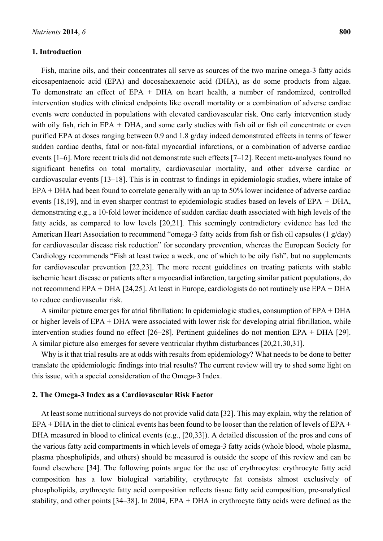#### **1. Introduction**

Fish, marine oils, and their concentrates all serve as sources of the two marine omega-3 fatty acids eicosapentaenoic acid (EPA) and docosahexaenoic acid (DHA), as do some products from algae. To demonstrate an effect of EPA + DHA on heart health, a number of randomized, controlled intervention studies with clinical endpoints like overall mortality or a combination of adverse cardiac events were conducted in populations with elevated cardiovascular risk. One early intervention study with oily fish, rich in EPA + DHA, and some early studies with fish oil or fish oil concentrate or even purified EPA at doses ranging between 0.9 and 1.8 g/day indeed demonstrated effects in terms of fewer sudden cardiac deaths, fatal or non-fatal myocardial infarctions, or a combination of adverse cardiac events [1–6]. More recent trials did not demonstrate such effects [7–12]. Recent meta-analyses found no significant benefits on total mortality, cardiovascular mortality, and other adverse cardiac or cardiovascular events [13–18]. This is in contrast to findings in epidemiologic studies, where intake of EPA + DHA had been found to correlate generally with an up to 50% lower incidence of adverse cardiac events [18,19], and in even sharper contrast to epidemiologic studies based on levels of EPA + DHA, demonstrating e.g., a 10-fold lower incidence of sudden cardiac death associated with high levels of the fatty acids, as compared to low levels [20,21]. This seemingly contradictory evidence has led the American Heart Association to recommend "omega-3 fatty acids from fish or fish oil capsules (1 g/day) for cardiovascular disease risk reduction" for secondary prevention, whereas the European Society for Cardiology recommends "Fish at least twice a week, one of which to be oily fish", but no supplements for cardiovascular prevention [22,23]. The more recent guidelines on treating patients with stable ischemic heart disease or patients after a myocardial infarction, targeting similar patient populations, do not recommend EPA + DHA [24,25]. At least in Europe, cardiologists do not routinely use EPA + DHA to reduce cardiovascular risk.

A similar picture emerges for atrial fibrillation: In epidemiologic studies, consumption of EPA + DHA or higher levels of EPA + DHA were associated with lower risk for developing atrial fibrillation, while intervention studies found no effect [26–28]. Pertinent guidelines do not mention EPA + DHA [29]. A similar picture also emerges for severe ventricular rhythm disturbances [20,21,30,31].

Why is it that trial results are at odds with results from epidemiology? What needs to be done to better translate the epidemiologic findings into trial results? The current review will try to shed some light on this issue, with a special consideration of the Omega-3 Index.

#### **2. The Omega-3 Index as a Cardiovascular Risk Factor**

At least some nutritional surveys do not provide valid data [32]. This may explain, why the relation of EPA + DHA in the diet to clinical events has been found to be looser than the relation of levels of EPA + DHA measured in blood to clinical events (e.g., [20,33]). A detailed discussion of the pros and cons of the various fatty acid compartments in which levels of omega-3 fatty acids (whole blood, whole plasma, plasma phospholipids, and others) should be measured is outside the scope of this review and can be found elsewhere [34]. The following points argue for the use of erythrocytes: erythrocyte fatty acid composition has a low biological variability, erythrocyte fat consists almost exclusively of phospholipids, erythrocyte fatty acid composition reflects tissue fatty acid composition, pre-analytical stability, and other points [34–38]. In 2004, EPA + DHA in erythrocyte fatty acids were defined as the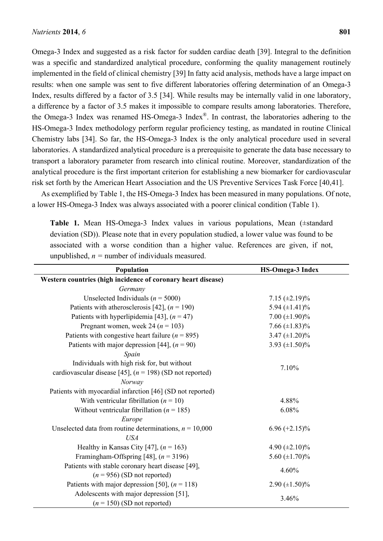Omega-3 Index and suggested as a risk factor for sudden cardiac death [39]. Integral to the definition was a specific and standardized analytical procedure, conforming the quality management routinely implemented in the field of clinical chemistry [39] In fatty acid analysis, methods have a large impact on results: when one sample was sent to five different laboratories offering determination of an Omega-3 Index, results differed by a factor of 3.5 [34]. While results may be internally valid in one laboratory, a difference by a factor of 3.5 makes it impossible to compare results among laboratories. Therefore, the Omega-3 Index was renamed HS-Omega-3 Index®. In contrast, the laboratories adhering to the HS-Omega-3 Index methodology perform regular proficiency testing, as mandated in routine Clinical Chemistry labs [34]. So far, the HS-Omega-3 Index is the only analytical procedure used in several laboratories. A standardized analytical procedure is a prerequisite to generate the data base necessary to transport a laboratory parameter from research into clinical routine. Moreover, standardization of the analytical procedure is the first important criterion for establishing a new biomarker for cardiovascular risk set forth by the American Heart Association and the US Preventive Services Task Force [40,41].

As exemplified by Table 1, the HS-Omega-3 Index has been measured in many populations. Of note, a lower HS-Omega-3 Index was always associated with a poorer clinical condition (Table 1).

**Table 1.** Mean HS-Omega-3 Index values in various populations, Mean (±standard deviation (SD)). Please note that in every population studied, a lower value was found to be associated with a worse condition than a higher value. References are given, if not, unpublished,  $n =$  number of individuals measured.

| Population                                                   | <b>HS-Omega-3 Index</b> |  |  |  |  |  |  |
|--------------------------------------------------------------|-------------------------|--|--|--|--|--|--|
| Western countries (high incidence of coronary heart disease) |                         |  |  |  |  |  |  |
| Germany                                                      |                         |  |  |  |  |  |  |
| Unselected Individuals ( $n = 5000$ )                        | $7.15 \ (\pm 2.19)\%$   |  |  |  |  |  |  |
| Patients with atherosclerosis [42], $(n = 190)$              | 5.94 $(\pm 1.41)\%$     |  |  |  |  |  |  |
| Patients with hyperlipidemia [43], $(n = 47)$                | 7.00 $(\pm 1.90)\%$     |  |  |  |  |  |  |
| Pregnant women, week 24 ( $n = 103$ )                        | 7.66 $(\pm 1.83)\%$     |  |  |  |  |  |  |
| Patients with congestive heart failure ( $n = 895$ )         | 3.47 $(\pm 1.20)\%$     |  |  |  |  |  |  |
| Patients with major depression [44], $(n = 90)$              | 3.93 $(\pm 1.50)\%$     |  |  |  |  |  |  |
| Spain                                                        |                         |  |  |  |  |  |  |
| Individuals with high risk for, but without                  | 7.10%                   |  |  |  |  |  |  |
| cardiovascular disease [45], $(n = 198)$ (SD not reported)   |                         |  |  |  |  |  |  |
| Norway                                                       |                         |  |  |  |  |  |  |
| Patients with myocardial infarction [46] (SD not reported)   |                         |  |  |  |  |  |  |
| With ventricular fibrillation ( $n = 10$ )                   | 4.88%                   |  |  |  |  |  |  |
| Without ventricular fibrillation ( $n = 185$ )               | 6.08%                   |  |  |  |  |  |  |
| Europe                                                       |                         |  |  |  |  |  |  |
| Unselected data from routine determinations, $n = 10,000$    | $6.96 (+2.15)\%$        |  |  |  |  |  |  |
| <b>USA</b>                                                   |                         |  |  |  |  |  |  |
| Healthy in Kansas City [47], $(n = 163)$                     | 4.90 $(\pm 2.10)\%$     |  |  |  |  |  |  |
| Framingham-Offspring [48], $(n = 3196)$                      | 5.60 $(\pm 1.70)\%$     |  |  |  |  |  |  |
| Patients with stable coronary heart disease [49],            | 4.60%                   |  |  |  |  |  |  |
| $(n = 956)$ (SD not reported)                                |                         |  |  |  |  |  |  |
| Patients with major depression [50], $(n = 118)$             | 2.90 $(\pm 1.50)\%$     |  |  |  |  |  |  |
| Adolescents with major depression [51],                      | 3.46%                   |  |  |  |  |  |  |
| $(n = 150)$ (SD not reported)                                |                         |  |  |  |  |  |  |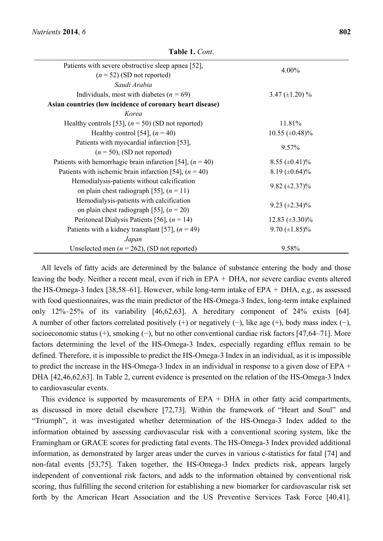| Patients with severe obstructive sleep apnea [52],          | 4.00%                  |  |  |  |
|-------------------------------------------------------------|------------------------|--|--|--|
| $(n = 52)$ (SD not reported)                                |                        |  |  |  |
| Saudi Arabia                                                |                        |  |  |  |
| Individuals, most with diabetes ( $n = 69$ )                | 3.47 $(\pm 1.20)$ %    |  |  |  |
| Asian countries (low incidence of coronary heart disease)   |                        |  |  |  |
| Korea                                                       |                        |  |  |  |
| Healthy controls [53], $(n = 50)$ (SD not reported)         | 11.81%                 |  |  |  |
| Healthy control [54], $(n = 40)$                            | $10.55 \ (\pm 0.48)\%$ |  |  |  |
| Patients with myocardial infarction [53],                   | 9.57%                  |  |  |  |
| $(n = 50)$ , (SD not reported)                              |                        |  |  |  |
| Patients with hemorrhagic brain infarction [54], $(n = 40)$ | $8.55 \ (\pm 0.41)\%$  |  |  |  |
| Patients with ischemic brain infarction [54], $(n = 40)$    | $8.19 \ (\pm 0.64)\%$  |  |  |  |
| Hemodialysis-patients without calcification                 | $9.82 \ (\pm 2.37)\%$  |  |  |  |
| on plain chest radiograph [55], $(n = 11)$                  |                        |  |  |  |
| Hemodialysis-patients with calcification                    |                        |  |  |  |
| on plain chest radiograph [55], $(n = 20)$                  | $9.23 \ (\pm 2.34)\%$  |  |  |  |
| Peritoneal Dialysis Patients [56], $(n = 14)$               | $12.83 \ (\pm 3.30)\%$ |  |  |  |
| Patients with a kidney transplant [57], $(n = 49)$          | 9.70 $(\pm 1.85)\%$    |  |  |  |
| Japan                                                       |                        |  |  |  |
| Unselected men ( $n = 262$ ), (SD not reported)             | 9.58%                  |  |  |  |

**Table 1.** *Cont*.

All levels of fatty acids are determined by the balance of substance entering the body and those leaving the body. Neither a recent meal, even if rich in EPA + DHA, nor severe cardiac events altered the HS-Omega-3 Index [38,58–61]. However, while long-term intake of EPA + DHA, e.g., as assessed with food questionnaires, was the main predictor of the HS-Omega-3 Index, long-term intake explained only 12%–25% of its variability [46,62,63]. A hereditary component of 24% exists [64]. A number of other factors correlated positively (+) or negatively (−), like age (+), body mass index (−), socioeconomic status (+), smoking (−), but no other conventional cardiac risk factors [47,64–71]. More factors determining the level of the HS-Omega-3 Index, especially regarding efflux remain to be defined. Therefore, it is impossible to predict the HS-Omega-3 Index in an individual, as it is impossible to predict the increase in the HS-Omega-3 Index in an individual in response to a given dose of EPA + DHA [42,46,62,63]. In Table 2, current evidence is presented on the relation of the HS-Omega-3 Index to cardiovascular events.

This evidence is supported by measurements of  $EPA + DHA$  in other fatty acid compartments, as discussed in more detail elsewhere [72,73]. Within the framework of "Heart and Soul" and "Triumph", it was investigated whether determination of the HS-Omega-3 Index added to the information obtained by assessing cardiovascular risk with a conventional scoring system, like the Framingham or GRACE scores for predicting fatal events. The HS-Omega-3 Index provided additional information, as demonstrated by larger areas under the curves in various c-statistics for fatal [74] and non-fatal events [53,75]. Taken together, the HS-Omega-3 Index predicts risk, appears largely independent of conventional risk factors, and adds to the information obtained by conventional risk scoring, thus fulfilling the second criterion for establishing a new biomarker for cardiovascular risk set forth by the American Heart Association and the US Preventive Services Task Force [40,41].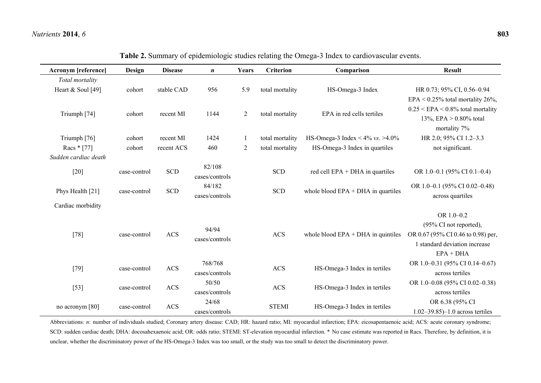$\overline{\phantom{a}}$ 

| <b>Acronym</b> [reference] | Design                                             | <b>Disease</b> | $\boldsymbol{n}$                     | Years                         | <b>Criterion</b> | Comparison                            | <b>Result</b>                              |
|----------------------------|----------------------------------------------------|----------------|--------------------------------------|-------------------------------|------------------|---------------------------------------|--------------------------------------------|
| Total mortality            |                                                    |                |                                      |                               |                  |                                       |                                            |
| Heart & Soul [49]          | cohort                                             | stable CAD     | 956                                  | 5.9                           | total mortality  | HS-Omega-3 Index                      | HR 0.73; 95% CI, 0.56-0.94                 |
|                            |                                                    |                |                                      |                               |                  |                                       | EPA < $0.25\%$ total mortality 26%,        |
| Triumph [74]               | cohort                                             | recent MI      | 1144                                 | $\overline{2}$                | total mortality  | EPA in red cells tertiles             | $0.25 \leq EPA \leq 0.8\%$ total mortality |
|                            |                                                    |                |                                      |                               |                  |                                       | 13%, EPA $> 0.80\%$ total                  |
|                            |                                                    |                |                                      |                               |                  |                                       | mortality 7%                               |
| Triumph [76]               | cohort                                             | recent MI      | 1424                                 | 1                             | total mortality  | HS-Omega-3 Index < $4\%$ vs. $>4.0\%$ | HR 2.0; 95% CI 1.2-3.3                     |
| Racs * [77]                | cohort                                             | recent ACS     | 460                                  | $\overline{2}$                | total mortality  | HS-Omega-3 Index in quartiles         | not significant.                           |
| Sudden cardiac death       |                                                    |                |                                      |                               |                  |                                       |                                            |
| $[20]$                     | case-control                                       | <b>SCD</b>     | 82/108                               |                               | <b>SCD</b>       | red cell $EPA + DHA$ in quartiles     | OR 1.0-0.1 (95% CI 0.1-0.4)                |
|                            |                                                    |                | cases/controls                       |                               |                  |                                       |                                            |
| Phys Health [21]           | 84/182<br><b>SCD</b><br><b>SCD</b><br>case-control |                | whole blood $EPA + DHA$ in quartiles | OR 1.0-0.1 (95% CI 0.02-0.48) |                  |                                       |                                            |
|                            |                                                    |                | cases/controls                       |                               |                  |                                       | across quartiles                           |
| Cardiac morbidity          |                                                    |                |                                      |                               |                  |                                       |                                            |
|                            |                                                    |                |                                      |                               |                  |                                       | OR 1.0-0.2                                 |
| $[78]$                     | case-control                                       | <b>ACS</b>     | 94/94                                |                               | <b>ACS</b>       | whole blood $EPA + DHA$ in quintiles  | (95% CI not reported),                     |
|                            |                                                    |                | cases/controls                       |                               |                  |                                       | OR 0.67 (95% CI 0.46 to 0.98) per,         |
|                            |                                                    |                |                                      |                               |                  |                                       | 1 standard deviation increase              |
|                            |                                                    |                |                                      |                               |                  |                                       | $EPA + DHA$                                |
| $[79]$                     | case-control                                       | ACS            | 768/768                              |                               | <b>ACS</b>       | HS-Omega-3 Index in tertiles          | OR 1.0-0.31 (95% CI 0.14-0.67)             |
|                            |                                                    |                | cases/controls                       |                               |                  |                                       | across tertiles                            |
| $[53]$                     | case-control                                       | <b>ACS</b>     | 50/50                                |                               | <b>ACS</b>       | HS-Omega-3 Index in tertiles          | OR 1.0-0.08 (95% CI 0.02-0.38)             |
|                            |                                                    |                | cases/controls                       |                               |                  |                                       | across tertiles                            |
| no acronym [80]            | case-control                                       | <b>ACS</b>     | 24/68                                |                               | <b>STEMI</b>     | HS-Omega-3 Index in tertiles          | OR 6.38 (95% CI                            |
|                            |                                                    |                | cases/controls                       |                               |                  |                                       | $1.02 - 39.85 - 1.0$ across tertiles       |

**Table 2.** Summary of epidemiologic studies relating the Omega-3 Index to cardiovascular events.

Abbreviations: *n*: number of individuals studied; Coronary artery disease: CAD; HR: hazard ratio; MI: myocardial infarction; EPA: eicosapentaenoic acid; ACS: acute coronary syndrome; SCD: sudden cardiac death; DHA: docosahexaenoic acid; OR: odds ratio; STEMI: ST-elevation myocardial infarction. \* No case estimate was reported in Racs. Therefore, by definition, it is unclear, whether the discriminatory power of the HS-Omega-3 Index was too small, or the study was too small to detect the discriminatory power.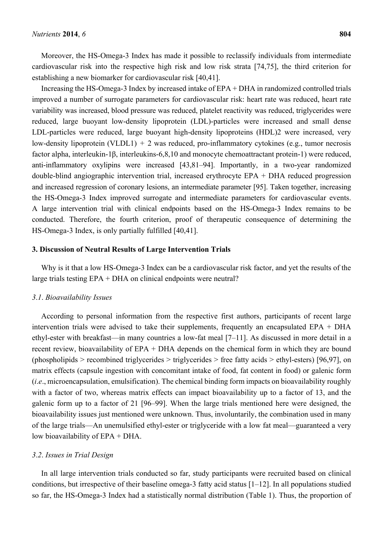Moreover, the HS-Omega-3 Index has made it possible to reclassify individuals from intermediate cardiovascular risk into the respective high risk and low risk strata [74,75], the third criterion for establishing a new biomarker for cardiovascular risk [40,41].

Increasing the HS-Omega-3 Index by increased intake of EPA + DHA in randomized controlled trials improved a number of surrogate parameters for cardiovascular risk: heart rate was reduced, heart rate variability was increased, blood pressure was reduced, platelet reactivity was reduced, triglycerides were reduced, large buoyant low-density lipoprotein (LDL)-particles were increased and small dense LDL-particles were reduced, large buoyant high-density lipoproteins (HDL)2 were increased, very low-density lipoprotein (VLDL1) + 2 was reduced, pro-inflammatory cytokines (e.g., tumor necrosis factor alpha, interleukin-1β, interleukins-6,8,10 and monocyte chemoattractant protein-1) were reduced, anti-inflammatory oxylipins were increased [43,81–94]. Importantly, in a two-year randomized double-blind angiographic intervention trial, increased erythrocyte EPA + DHA reduced progression and increased regression of coronary lesions, an intermediate parameter [95]. Taken together, increasing the HS-Omega-3 Index improved surrogate and intermediate parameters for cardiovascular events. A large intervention trial with clinical endpoints based on the HS-Omega-3 Index remains to be conducted. Therefore, the fourth criterion, proof of therapeutic consequence of determining the HS-Omega-3 Index, is only partially fulfilled [40,41].

### **3. Discussion of Neutral Results of Large Intervention Trials**

Why is it that a low HS-Omega-3 Index can be a cardiovascular risk factor, and yet the results of the large trials testing EPA + DHA on clinical endpoints were neutral?

#### *3*.*1*. *Bioavailability Issues*

According to personal information from the respective first authors, participants of recent large intervention trials were advised to take their supplements, frequently an encapsulated EPA + DHA ethyl-ester with breakfast—in many countries a low-fat meal [7–11]. As discussed in more detail in a recent review, bioavailability of EPA + DHA depends on the chemical form in which they are bound (phospholipids > recombined triglycerides > triglycerides > free fatty acids > ethyl-esters) [96,97], on matrix effects (capsule ingestion with concomitant intake of food, fat content in food) or galenic form (*i*.*e*., microencapsulation, emulsification). The chemical binding form impacts on bioavailability roughly with a factor of two, whereas matrix effects can impact bioavailability up to a factor of 13, and the galenic form up to a factor of 21 [96–99]. When the large trials mentioned here were designed, the bioavailability issues just mentioned were unknown. Thus, involuntarily, the combination used in many of the large trials—An unemulsified ethyl-ester or triglyceride with a low fat meal—guaranteed a very low bioavailability of EPA + DHA.

#### *3*.*2*. *Issues in Trial Design*

In all large intervention trials conducted so far, study participants were recruited based on clinical conditions, but irrespective of their baseline omega-3 fatty acid status  $[1-12]$ . In all populations studied so far, the HS-Omega-3 Index had a statistically normal distribution (Table 1). Thus, the proportion of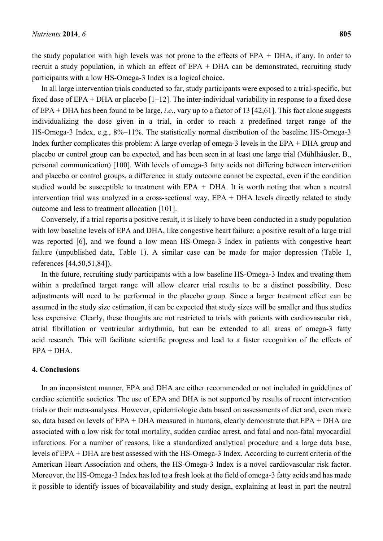the study population with high levels was not prone to the effects of  $EPA + DHA$ , if any. In order to recruit a study population, in which an effect of EPA + DHA can be demonstrated, recruiting study participants with a low HS-Omega-3 Index is a logical choice.

In all large intervention trials conducted so far, study participants were exposed to a trial-specific, but fixed dose of EPA + DHA or placebo [1–12]. The inter-individual variability in response to a fixed dose of EPA + DHA has been found to be large, *i*.*e*., vary up to a factor of 13 [42,61]. This fact alone suggests individualizing the dose given in a trial, in order to reach a predefined target range of the HS-Omega-3 Index, e.g., 8%–11%. The statistically normal distribution of the baseline HS-Omega-3 Index further complicates this problem: A large overlap of omega-3 levels in the EPA + DHA group and placebo or control group can be expected, and has been seen in at least one large trial (Mühlhäusler, B., personal communication) [100]. With levels of omega-3 fatty acids not differing between intervention and placebo or control groups, a difference in study outcome cannot be expected, even if the condition studied would be susceptible to treatment with EPA  $+$  DHA. It is worth noting that when a neutral intervention trial was analyzed in a cross-sectional way, EPA + DHA levels directly related to study outcome and less to treatment allocation [101].

Conversely, if a trial reports a positive result, it is likely to have been conducted in a study population with low baseline levels of EPA and DHA, like congestive heart failure: a positive result of a large trial was reported [6], and we found a low mean HS-Omega-3 Index in patients with congestive heart failure (unpublished data, Table 1). A similar case can be made for major depression (Table 1, references [44,50,51,84]).

In the future, recruiting study participants with a low baseline HS-Omega-3 Index and treating them within a predefined target range will allow clearer trial results to be a distinct possibility. Dose adjustments will need to be performed in the placebo group. Since a larger treatment effect can be assumed in the study size estimation, it can be expected that study sizes will be smaller and thus studies less expensive. Clearly, these thoughts are not restricted to trials with patients with cardiovascular risk, atrial fibrillation or ventricular arrhythmia, but can be extended to all areas of omega-3 fatty acid research. This will facilitate scientific progress and lead to a faster recognition of the effects of  $EPA + DHA$ 

### **4. Conclusions**

In an inconsistent manner, EPA and DHA are either recommended or not included in guidelines of cardiac scientific societies. The use of EPA and DHA is not supported by results of recent intervention trials or their meta-analyses. However, epidemiologic data based on assessments of diet and, even more so, data based on levels of EPA + DHA measured in humans, clearly demonstrate that EPA + DHA are associated with a low risk for total mortality, sudden cardiac arrest, and fatal and non-fatal myocardial infarctions. For a number of reasons, like a standardized analytical procedure and a large data base, levels of EPA + DHA are best assessed with the HS-Omega-3 Index. According to current criteria of the American Heart Association and others, the HS-Omega-3 Index is a novel cardiovascular risk factor. Moreover, the HS-Omega-3 Index has led to a fresh look at the field of omega-3 fatty acids and has made it possible to identify issues of bioavailability and study design, explaining at least in part the neutral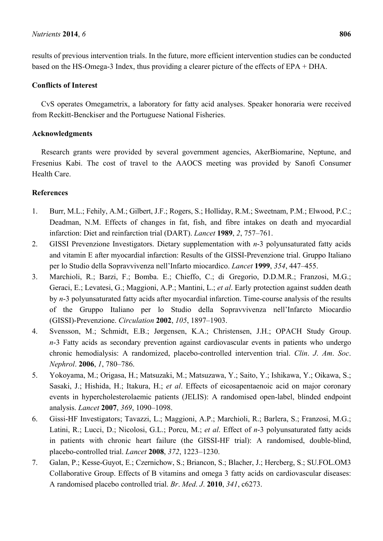### *Nutrients* **2014**, *6* **806**

results of previous intervention trials. In the future, more efficient intervention studies can be conducted based on the HS-Omega-3 Index, thus providing a clearer picture of the effects of EPA + DHA.

# **Conflicts of Interest**

CvS operates Omegametrix, a laboratory for fatty acid analyses. Speaker honoraria were received from Reckitt-Benckiser and the Portuguese National Fisheries.

# **Acknowledgments**

Research grants were provided by several government agencies, AkerBiomarine, Neptune, and Fresenius Kabi. The cost of travel to the AAOCS meeting was provided by Sanofi Consumer Health Care.

## **References**

- 1. Burr, M.L.; Fehily, A.M.; Gilbert, J.F.; Rogers, S.; Holliday, R.M.; Sweetnam, P.M.; Elwood, P.C.; Deadman, N.M. Effects of changes in fat, fish, and fibre intakes on death and myocardial infarction: Diet and reinfarction trial (DART). *Lancet* **1989**, *2*, 757–761.
- 2. GISSI Prevenzione Investigators. Dietary supplementation with *n*-3 polyunsaturated fatty acids and vitamin E after myocardial infarction: Results of the GISSI-Prevenzione trial. Gruppo Italiano per lo Studio della Sopravvivenza nell'Infarto miocardico. *Lancet* **1999**, *354*, 447–455.
- 3. Marchioli, R.; Barzi, F.; Bomba. E.; Chieffo, C.; di Gregorio, D.D.M.R.; Franzosi, M.G.; Geraci, E.; Levatesi, G.; Maggioni, A.P.; Mantini, L.; *et al*. Early protection against sudden death by *n*-3 polyunsaturated fatty acids after myocardial infarction. Time-course analysis of the results of the Gruppo Italiano per lo Studio della Sopravvivenza nell'Infarcto Miocardio (GISSI)-Prevenzione. *Circulation* **2002**, *105*, 1897–1903.
- 4. Svensson, M.; Schmidt, E.B.; Jørgensen, K.A.; Christensen, J.H.; OPACH Study Group. *n*-3 Fatty acids as secondary prevention against cardiovascular events in patients who undergo chronic hemodialysis: A randomized, placebo-controlled intervention trial. *Clin*. *J*. *Am*. *Soc*. *Nephrol*. **2006**, *1*, 780–786.
- 5. Yokoyama, M.; Origasa, H.; Matsuzaki, M.; Matsuzawa, Y.; Saito, Y.; Ishikawa, Y.; Oikawa, S.; Sasaki, J.; Hishida, H.; Itakura, H.; *et al*. Effects of eicosapentaenoic acid on major coronary events in hypercholesterolaemic patients (JELIS): A randomised open-label, blinded endpoint analysis. *Lancet* **2007**, *369*, 1090–1098.
- 6. Gissi-HF Investigators; Tavazzi, L.; Maggioni, A.P.; Marchioli, R.; Barlera, S.; Franzosi, M.G.; Latini, R.; Lucci, D.; Nicolosi, G.L.; Porcu, M.; *et al*. Effect of *n*-3 polyunsaturated fatty acids in patients with chronic heart failure (the GISSI-HF trial): A randomised, double-blind, placebo-controlled trial. *Lancet* **2008**, *372*, 1223–1230.
- 7. Galan, P.; Kesse-Guyot, E.; Czernichow, S.; Briancon, S.; Blacher, J.; Hercberg, S.; SU.FOL.OM3 Collaborative Group. Effects of B vitamins and omega 3 fatty acids on cardiovascular diseases: A randomised placebo controlled trial. *Br*. *Med*. *J*. **2010**, *341*, c6273.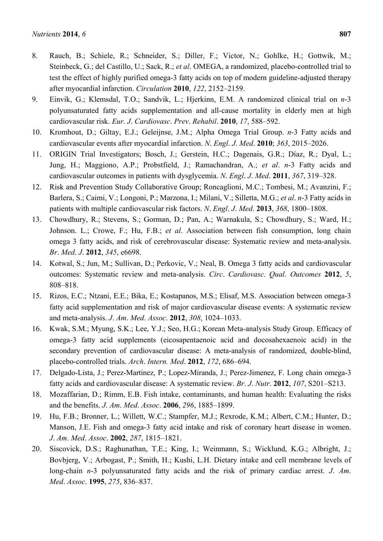- 8. Rauch, B.; Schiele, R.; Schneider, S.; Diller, F.; Victor, N.; Gohlke, H.; Gottwik, M.; Steinbeck, G.; del Castillo, U.; Sack, R.; *et al*. OMEGA, a randomized, placebo-controlled trial to test the effect of highly purified omega-3 fatty acids on top of modern guideline-adjusted therapy after myocardial infarction. *Circulation* **2010**, *122*, 2152–2159.
- 9. Einvik, G.; Klemsdal, T.O.; Sandvik, L.; Hjerkinn, E.M. A randomized clinical trial on *n*-3 polyunsaturated fatty acids supplementation and all-cause mortality in elderly men at high cardiovascular risk. *Eur*. *J*. *Cardiovasc*. *Prev*. *Rehabil*. **2010**, *17*, 588–592.
- 10. Kromhout, D.; Giltay, E.J.; Geleijnse, J.M.; Alpha Omega Trial Group. *n*-3 Fatty acids and cardiovascular events after myocardial infarction. *N*. *Engl*. *J*. *Med*. **2010**; *363*, 2015–2026.
- 11. ORIGIN Trial Investigators; Bosch, J.; Gerstein, H.C.; Dagenais, G.R.; Díaz, R.; Dyal, L.; Jung, H.; Maggiono, A.P.; Probstfield, J.; Ramachandran, A.; *et al*. *n*-3 Fatty acids and cardiovascular outcomes in patients with dysglycemia. *N*. *Engl*. *J*. *Med*. **2011**, *367*, 319–328.
- 12. Risk and Prevention Study Collaborative Group; Roncaglioni, M.C.; Tombesi, M.; Avanzini, F.; Barlera, S.; Caimi, V.; Longoni, P.; Marzona, I.; Milani, V.; Silletta, M.G.; *et al*. *n*-3 Fatty acids in patients with multiple cardiovascular risk factors. *N*. *Engl*. *J*. *Med*. **2013**, *368*, 1800–1808.
- 13. Chowdhury, R.; Stevens, S.; Gorman, D.; Pan, A.; Warnakula, S.; Chowdhury, S.; Ward, H.; Johnson. L.; Crowe, F.; Hu, F.B.; *et al*. Association between fish consumption, long chain omega 3 fatty acids, and risk of cerebrovascular disease: Systematic review and meta-analysis. *Br*. *Med*. *J*. **2012**, *345*, e6698.
- 14. Kotwal, S.; Jun, M.; Sullivan, D.; Perkovic, V.; Neal, B. Omega 3 fatty acids and cardiovascular outcomes: Systematic review and meta-analysis. *Circ*. *Cardiovasc*. *Qual*. *Outcomes* **2012**, *5*, 808–818.
- 15. Rizos, E.C.; Ntzani, E.E.; Bika, E.; Kostapanos, M.S.; Elisaf, M.S. Association between omega-3 fatty acid supplementation and risk of major cardiovascular disease events: A systematic review and meta-analysis. *J*. *Am*. *Med*. *Assoc*. **2012**, *308*, 1024–1033.
- 16. Kwak, S.M.; Myung, S.K.; Lee, Y.J.; Seo, H.G.; Korean Meta-analysis Study Group. Efficacy of omega-3 fatty acid supplements (eicosapentaenoic acid and docosahexaenoic acid) in the secondary prevention of cardiovascular disease: A meta-analysis of randomized, double-blind, placebo-controlled trials. *Arch*. *Intern. Med*. **2012**, *172*, 686–694.
- 17. Delgado-Lista, J.; Perez-Martinez, P.; Lopez-Miranda, J.; Perez-Jimenez, F. Long chain omega-3 fatty acids and cardiovascular disease: A systematic review. *Br*. *J*. *Nutr*. **2012**, *107*, S201–S213.
- 18. Mozaffarian, D.; Rimm, E.B. Fish intake, contaminants, and human health: Evaluating the risks and the benefits. *J*. *Am*. *Med*. *Assoc*. **2006**, *296*, 1885–1899.
- 19. Hu, F.B.; Bronner, L.; Willett, W.C.; Stampfer, M.J.; Rexrode, K.M.; Albert, C.M.; Hunter, D.; Manson, J.E. Fish and omega-3 fatty acid intake and risk of coronary heart disease in women. *J*. *Am*. *Med*. *Assoc*. **2002**, *287*, 1815–1821.
- 20. Siscovick, D.S.; Raghunathan, T.E.; King, I.; Weinmann, S.; Wicklund, K.G.; Albright, J.; Bovbjerg, V.; Arbogast, P.; Smith, H.; Kushi, L.H. Dietary intake and cell membrane levels of long-chain *n*-3 polyunsaturated fatty acids and the risk of primary cardiac arrest. *J*. *Am*. *Med*. *Assoc*. **1995**, *275*, 836–837.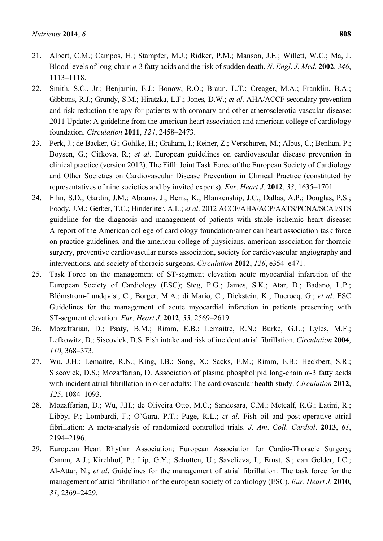- 21. Albert, C.M.; Campos, H.; Stampfer, M.J.; Ridker, P.M.; Manson, J.E.; Willett, W.C.; Ma, J. Blood levels of long-chain *n*-3 fatty acids and the risk of sudden death. *N*. *Engl*. *J*. *Med*. **2002**, *346*, 1113–1118.
- 22. Smith, S.C., Jr.; Benjamin, E.J.; Bonow, R.O.; Braun, L.T.; Creager, M.A.; Franklin, B.A.; Gibbons, R.J.; Grundy, S.M.; Hiratzka, L.F.; Jones, D.W.; *et al*. AHA/ACCF secondary prevention and risk reduction therapy for patients with coronary and other atherosclerotic vascular disease: 2011 Update: A guideline from the american heart association and american college of cardiology foundation. *Circulation* **2011**, *124*, 2458–2473.
- 23. Perk, J.; de Backer, G.; Gohlke, H.; Graham, I.; Reiner, Z.; Verschuren, M.; Albus, C.; Benlian, P.; Boysen, G.; Cifkova, R.; *et al*. European guidelines on cardiovascular disease prevention in clinical practice (version 2012). The Fifth Joint Task Force of the European Society of Cardiology and Other Societies on Cardiovascular Disease Prevention in Clinical Practice (constituted by representatives of nine societies and by invited experts). *Eur*. *Heart J*. **2012**, *33*, 1635–1701.
- 24. Fihn, S.D.; Gardin, J.M.; Abrams, J.; Berra, K.; Blankenship, J.C.; Dallas, A.P.; Douglas, P.S.; Foody, J.M.; Gerber, T.C.; Hinderliter, A.L.; *et al*. 2012 ACCF/AHA/ACP/AATS/PCNA/SCAI/STS guideline for the diagnosis and management of patients with stable ischemic heart disease: A report of the American college of cardiology foundation/american heart association task force on practice guidelines, and the american college of physicians, american association for thoracic surgery, preventive cardiovascular nurses association, society for cardiovascular angiography and interventions, and society of thoracic surgeons. *Circulation* **2012**, *126*, e354–e471.
- 25. Task Force on the management of ST-segment elevation acute myocardial infarction of the European Society of Cardiology (ESC); Steg, P.G.; James, S.K.; Atar, D.; Badano, L.P.; Blömstrom-Lundqvist, C.; Borger, M.A.; di Mario, C.; Dickstein, K.; Ducrocq, G.; *et al*. ESC Guidelines for the management of acute myocardial infarction in patients presenting with ST-segment elevation. *Eur*. *Heart J*. **2012**, *33*, 2569–2619.
- 26. Mozaffarian, D.; Psaty, B.M.; Rimm, E.B.; Lemaitre, R.N.; Burke, G.L.; Lyles, M.F.; Lefkowitz, D.; Siscovick, D.S. Fish intake and risk of incident atrial fibrillation. *Circulation* **2004**, *110*, 368–373.
- 27. Wu, J.H.; Lemaitre, R.N.; King, I.B.; Song, X.; Sacks, F.M.; Rimm, E.B.; Heckbert, S.R.; Siscovick, D.S.; Mozaffarian, D. Association of plasma phospholipid long-chain ω-3 fatty acids with incident atrial fibrillation in older adults: The cardiovascular health study. *Circulation* **2012**, *125*, 1084–1093.
- 28. Mozaffarian, D.; Wu, J.H.; de Oliveira Otto, M.C.; Sandesara, C.M.; Metcalf, R.G.; Latini, R.; Libby, P.; Lombardi, F.; O'Gara, P.T.; Page, R.L.; *et al*. Fish oil and post-operative atrial fibrillation: A meta-analysis of randomized controlled trials. *J*. *Am*. *Coll*. *Cardiol*. **2013**, *61*, 2194–2196.
- 29. European Heart Rhythm Association; European Association for Cardio-Thoracic Surgery; Camm, A.J.; Kirchhof, P.; Lip, G.Y.; Schotten, U.; Savelieva, I.; Ernst, S.; can Gelder, I.C.; Al-Attar, N.; *et al*. Guidelines for the management of atrial fibrillation: The task force for the management of atrial fibrillation of the european society of cardiology (ESC). *Eur*. *Heart J*. **2010**, *31*, 2369–2429.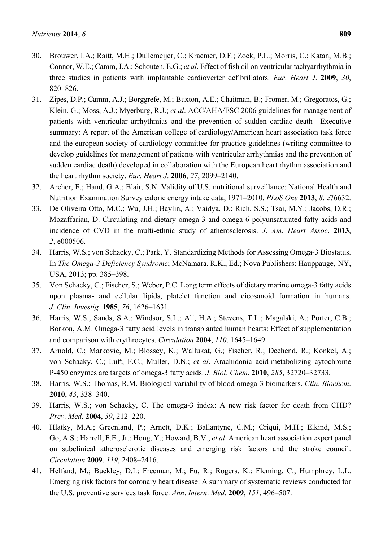- 
- 30. Brouwer, I.A.; Raitt, M.H.; Dullemeijer, C.; Kraemer, D.F.; Zock, P.L.; Morris, C.; Katan, M.B.; Connor, W.E.; Camm, J.A.; Schouten, E.G.; *et al*. Effect of fish oil on ventricular tachyarrhythmia in three studies in patients with implantable cardioverter defibrillators. *Eur*. *Heart J*. **2009**, *30*, 820–826.
- 31. Zipes, D.P.; Camm, A.J.; Borggrefe, M.; Buxton, A.E.; Chaitman, B.; Fromer, M.; Gregoratos, G.; Klein, G.; Moss, A.J.; Myerburg, R.J.; *et al*. ACC/AHA/ESC 2006 guidelines for management of patients with ventricular arrhythmias and the prevention of sudden cardiac death—Executive summary: A report of the American college of cardiology/American heart association task force and the european society of cardiology committee for practice guidelines (writing committee to develop guidelines for management of patients with ventricular arrhythmias and the prevention of sudden cardiac death) developed in collaboration with the European heart rhythm association and the heart rhythm society. *Eur*. *Heart J*. **2006**, *27*, 2099–2140.
- 32. Archer, E.; Hand, G.A.; Blair, S.N. Validity of U.S. nutritional surveillance: National Health and Nutrition Examination Survey caloric energy intake data, 1971–2010. *PLoS One* **2013**, *8*, e76632.
- 33. De Oliveira Otto, M.C.; Wu, J.H.; Baylin, A.; Vaidya, D.; Rich, S.S.; Tsai, M.Y.; Jacobs, D.R.; Mozaffarian, D. Circulating and dietary omega-3 and omega-6 polyunsaturated fatty acids and incidence of CVD in the multi-ethnic study of atherosclerosis. *J*. *Am*. *Heart Assoc*. **2013**, *2*, e000506.
- 34. Harris, W.S.; von Schacky, C.; Park, Y. Standardizing Methods for Assessing Omega-3 Biostatus. In *The Omega-3 Deficiency Syndrome*; McNamara, R.K., Ed.; Nova Publishers: Hauppauge, NY, USA, 2013; pp. 385–398.
- 35. Von Schacky, C.; Fischer, S.; Weber, P.C. Long term effects of dietary marine omega-3 fatty acids upon plasma- and cellular lipids, platelet function and eicosanoid formation in humans. *J*. *Clin*. *Investig.* **1985**, *76*, 1626–1631.
- 36. Harris, W.S.; Sands, S.A.; Windsor, S.L.; Ali, H.A.; Stevens, T.L.; Magalski, A.; Porter, C.B.; Borkon, A.M. Omega-3 fatty acid levels in transplanted human hearts: Effect of supplementation and comparison with erythrocytes. *Circulation* **2004**, *110*, 1645–1649.
- 37. Arnold, C.; Markovic, M.; Blossey, K.; Wallukat, G.; Fischer, R.; Dechend, R.; Konkel, A.; von Schacky, C.; Luft, F.C.; Muller, D.N.; *et al*. Arachidonic acid-metabolizing cytochrome P-450 enzymes are targets of omega-3 fatty acids. *J*. *Biol*. *Chem*. **2010**, *285*, 32720–32733.
- 38. Harris, W.S.; Thomas, R.M. Biological variability of blood omega-3 biomarkers. *Clin*. *Biochem*. **2010**, *43*, 338–340.
- 39. Harris, W.S.; von Schacky, C. The omega-3 index: A new risk factor for death from CHD? *Prev*. *Med*. **2004**, *39*, 212–220.
- 40. Hlatky, M.A.; Greenland, P.; Arnett, D.K.; Ballantyne, C.M.; Criqui, M.H.; Elkind, M.S.; Go, A.S.; Harrell, F.E., Jr.; Hong, Y.; Howard, B.V.; *et al*. American heart association expert panel on subclinical atherosclerotic diseases and emerging risk factors and the stroke council. *Circulation* **2009**, *119*, 2408–2416.
- 41. Helfand, M.; Buckley, D.I.; Freeman, M.; Fu, R.; Rogers, K.; Fleming, C.; Humphrey, L.L. Emerging risk factors for coronary heart disease: A summary of systematic reviews conducted for the U.S. preventive services task force. *Ann*. *Intern*. *Med*. **2009**, *151*, 496–507.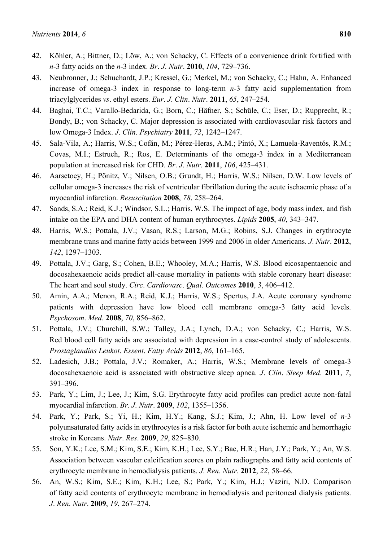- 42. Köhler, A.; Bittner, D.; Löw, A.; von Schacky, C. Effects of a convenience drink fortified with *n*-3 fatty acids on the *n*-3 index. *Br*. *J*. *Nutr*. **2010**, *104*, 729–736.
- 43. Neubronner, J.; Schuchardt, J.P.; Kressel, G.; Merkel, M.; von Schacky, C.; Hahn, A. Enhanced increase of omega-3 index in response to long-term *n*-3 fatty acid supplementation from triacylglycerides *vs*. ethyl esters. *Eur*. *J*. *Clin*. *Nutr*. **2011**, *65*, 247–254.
- 44. Baghai, T.C.; Varallo-Bedarida, G.; Born, C.; Häfner, S.; Schüle, C.; Eser, D.; Rupprecht, R.; Bondy, B.; von Schacky, C. Major depression is associated with cardiovascular risk factors and low Omega-3 Index. *J*. *Clin*. *Psychiatry* **2011**, *72*, 1242–1247.
- 45. Sala-Vila, A.; Harris, W.S.; Cofán, M.; Pérez-Heras, A.M.; Pintó, X.; Lamuela-Raventós, R.M.; Covas, M.I.; Estruch, R.; Ros, E. Determinants of the omega-3 index in a Mediterranean population at increased risk for CHD. *Br*. *J*. *Nutr*. **2011**, *106*, 425–431.
- 46. Aarsetoey, H.; Pönitz, V.; Nilsen, O.B.; Grundt, H.; Harris, W.S.; Nilsen, D.W. Low levels of cellular omega-3 increases the risk of ventricular fibrillation during the acute ischaemic phase of a myocardial infarction. *Resuscitation* **2008**, *78*, 258–264.
- 47. Sands, S.A.; Reid, K.J.; Windsor, S.L.; Harris, W.S. The impact of age, body mass index, and fish intake on the EPA and DHA content of human erythrocytes. *Lipids* **2005**, *40*, 343–347.
- 48. Harris, W.S.; Pottala, J.V.; Vasan, R.S.; Larson, M.G.; Robins, S.J. Changes in erythrocyte membrane trans and marine fatty acids between 1999 and 2006 in older Americans. *J*. *Nutr*. **2012**, *142*, 1297–1303.
- 49. Pottala, J.V.; Garg, S.; Cohen, B.E.; Whooley, M.A.; Harris, W.S. Blood eicosapentaenoic and docosahexaenoic acids predict all-cause mortality in patients with stable coronary heart disease: The heart and soul study. *Circ*. *Cardiovasc*. *Qual*. *Outcomes* **2010**, *3*, 406–412.
- 50. Amin, A.A.; Menon, R.A.; Reid, K.J.; Harris, W.S.; Spertus, J.A. Acute coronary syndrome patients with depression have low blood cell membrane omega-3 fatty acid levels. *Psychosom*. *Med*. **2008**, *70*, 856–862.
- 51. Pottala, J.V.; Churchill, S.W.; Talley, J.A.; Lynch, D.A.; von Schacky, C.; Harris, W.S. Red blood cell fatty acids are associated with depression in a case-control study of adolescents. *Prostaglandins Leukot*. *Essent*. *Fatty Acids* **2012**, *86*, 161–165.
- 52. Ladesich, J.B.; Pottala, J.V.; Romaker, A.; Harris, W.S.; Membrane levels of omega-3 docosahexaenoic acid is associated with obstructive sleep apnea. *J*. *Clin*. *Sleep Med*. **2011**, *7*, 391–396.
- 53. Park, Y.; Lim, J.; Lee, J.; Kim, S.G. Erythrocyte fatty acid profiles can predict acute non-fatal myocardial infarction. *Br*. *J*. *Nutr*. **2009**, *102*, 1355–1356.
- 54. Park, Y.; Park, S.; Yi, H.; Kim, H.Y.; Kang, S.J.; Kim, J.; Ahn, H. Low level of *n*-3 polyunsaturated fatty acids in erythrocytes is a risk factor for both acute ischemic and hemorrhagic stroke in Koreans. *Nutr*. *Res*. **2009**, *29*, 825–830.
- 55. Son, Y.K.; Lee, S.M.; Kim, S.E.; Kim, K.H.; Lee, S.Y.; Bae, H.R.; Han, J.Y.; Park, Y.; An, W.S. Association between vascular calcification scores on plain radiographs and fatty acid contents of erythrocyte membrane in hemodialysis patients. *J*. *Ren*. *Nutr*. **2012**, *22*, 58–66.
- 56. An, W.S.; Kim, S.E.; Kim, K.H.; Lee, S.; Park, Y.; Kim, H.J.; Vaziri, N.D. Comparison of fatty acid contents of erythrocyte membrane in hemodialysis and peritoneal dialysis patients. *J*. *Ren*. *Nutr*. **2009**, *19*, 267–274.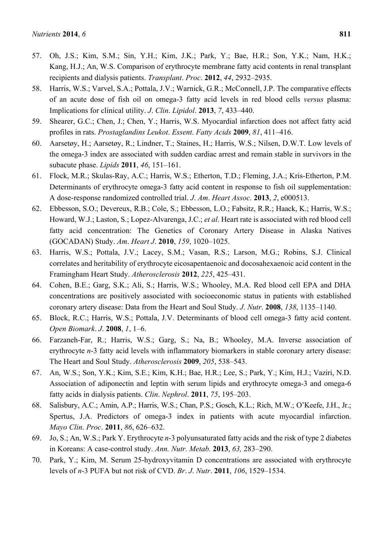- 58. Harris, W.S.; Varvel, S.A.; Pottala, J.V.; Warnick, G.R.; McConnell, J.P. The comparative effects of an acute dose of fish oil on omega-3 fatty acid levels in red blood cells *versus* plasma: Implications for clinical utility. *J*. *Clin*. *Lipidol*. **2013**, *7*, 433–440.
- 59. Shearer, G.C.; Chen, J.; Chen, Y.; Harris, W.S. Myocardial infarction does not affect fatty acid profiles in rats. *Prostaglandins Leukot*. *Essent*. *Fatty Acids* **2009**, *81*, 411–416.
- 60. Aarsetøy, H.; Aarsetøy, R.; Lindner, T.; Staines, H.; Harris, W.S.; Nilsen, D.W.T. Low levels of the omega-3 index are associated with sudden cardiac arrest and remain stable in survivors in the subacute phase. *Lipids* **2011**, *46*, 151–161.
- 61. Flock, M.R.; Skulas-Ray, A.C.; Harris, W.S.; Etherton, T.D.; Fleming, J.A.; Kris-Etherton, P.M. Determinants of erythrocyte omega-3 fatty acid content in response to fish oil supplementation: A dose-response randomized controlled trial. *J*. *Am*. *Heart Assoc*. **2013**, *2*, e000513.
- 62. Ebbesson, S.O.; Devereux, R.B.; Cole, S.; Ebbesson, L.O.; Fabsitz, R.R.; Haack, K.; Harris, W.S.; Howard, W.J.; Laston, S.; Lopez-Alvarenga, J.C.; *et al*. Heart rate is associated with red blood cell fatty acid concentration: The Genetics of Coronary Artery Disease in Alaska Natives (GOCADAN) Study. *Am*. *Heart J*. **2010**, *159*, 1020–1025.
- 63. Harris, W.S.; Pottala, J.V.; Lacey, S.M.; Vasan, R.S.; Larson, M.G.; Robins, S.J. Clinical correlates and heritability of erythrocyte eicosapentaenoic and docosahexaenoic acid content in the Framingham Heart Study. *Atherosclerosis* **2012**, *225*, 425–431.
- 64. Cohen, B.E.; Garg, S.K.; Ali, S.; Harris, W.S.; Whooley, M.A. Red blood cell EPA and DHA concentrations are positively associated with socioeconomic status in patients with established coronary artery disease: Data from the Heart and Soul Study. *J*. *Nutr*. **2008**, *138*, 1135–1140.
- 65. Block, R.C.; Harris, W.S.; Pottala, J.V. Determinants of blood cell omega-3 fatty acid content. *Open Biomark*. *J*. **2008**, *1*, 1–6.
- 66. Farzaneh-Far, R.; Harris, W.S.; Garg, S.; Na, B.; Whooley, M.A. Inverse association of erythrocyte *n*-3 fatty acid levels with inflammatory biomarkers in stable coronary artery disease: The Heart and Soul Study. *Atherosclerosis* **2009**, *205*, 538–543.
- 67. An, W.S.; Son, Y.K.; Kim, S.E.; Kim, K.H.; Bae, H.R.; Lee, S.; Park, Y.; Kim, H.J.; Vaziri, N.D. Association of adiponectin and leptin with serum lipids and erythrocyte omega-3 and omega-6 fatty acids in dialysis patients. *Clin*. *Nephrol*. **2011**, *75*, 195–203.
- 68. Salisbury, A.C.; Amin, A.P.; Harris, W.S.; Chan, P.S.; Gosch, K.L.; Rich, M.W.; O'Keefe, J.H., Jr.; Spertus, J.A. Predictors of omega-3 index in patients with acute myocardial infarction. *Mayo Clin*. *Proc*. **2011**, *86*, 626–632.
- 69. Jo, S.; An, W.S.; Park Y. Erythrocyte *n*-3 polyunsaturated fatty acids and the risk of type 2 diabetes in Koreans: A case-control study. *Ann. Nutr. Metab.* **2013**, *63,* 283–290.
- 70. Park, Y.; Kim, M. Serum 25-hydroxyvitamin D concentrations are associated with erythrocyte levels of *n*-3 PUFA but not risk of CVD. *Br*. *J*. *Nutr*. **2011**, *106*, 1529–1534.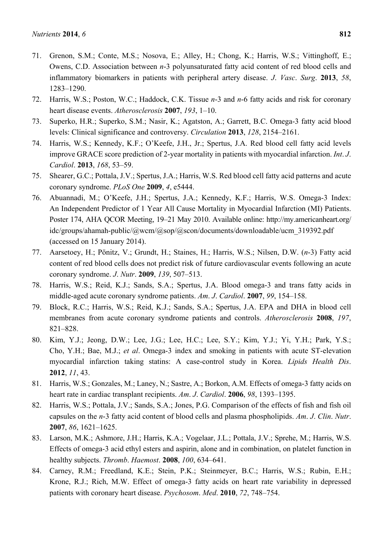- 71. Grenon, S.M.; Conte, M.S.; Nosova, E.; Alley, H.; Chong, K.; Harris, W.S.; Vittinghoff, E.; Owens, C.D. Association between *n*-3 polyunsaturated fatty acid content of red blood cells and inflammatory biomarkers in patients with peripheral artery disease. *J*. *Vasc*. *Surg*. **2013**, *58*, 1283–1290.
- 72. Harris, W.S.; Poston, W.C.; Haddock, C.K. Tissue *n*-3 and *n*-6 fatty acids and risk for coronary heart disease events. *Atherosclerosis* **2007**, *193*, 1–10.
- 73. Superko, H.R.; Superko, S.M.; Nasir, K.; Agatston, A.; Garrett, B.C. Omega-3 fatty acid blood levels: Clinical significance and controversy. *Circulation* **2013**, *128*, 2154–2161.
- 74. Harris, W.S.; Kennedy, K.F.; O'Keefe, J.H., Jr.; Spertus, J.A. Red blood cell fatty acid levels improve GRACE score prediction of 2-year mortality in patients with myocardial infarction. *Int*. *J*. *Cardiol*. **2013**, *168*, 53–59.
- 75. Shearer, G.C.; Pottala, J.V.; Spertus, J.A.; Harris, W.S. Red blood cell fatty acid patterns and acute coronary syndrome. *PLoS One* **2009**, *4*, e5444.
- 76. Abuannadi, M.; O'Keefe, J.H.; Spertus, J.A.; Kennedy, K.F.; Harris, W.S. Omega-3 Index: An Independent Predictor of 1 Year All Cause Mortality in Myocardial Infarction (MI) Patients. Poster 174, AHA QCOR Meeting, 19–21 May 2010. Available online: http://my.americanheart.org/ idc/groups/ahamah-public/@wcm/@sop/@scon/documents/downloadable/ucm\_319392.pdf (accessed on 15 January 2014).
- 77. Aarsetoey, H.; Pönitz, V.; Grundt, H.; Staines, H.; Harris, W.S.; Nilsen, D.W. (*n*-3) Fatty acid content of red blood cells does not predict risk of future cardiovascular events following an acute coronary syndrome. *J*. *Nutr*. **2009**, *139*, 507–513.
- 78. Harris, W.S.; Reid, K.J.; Sands, S.A.; Spertus, J.A. Blood omega-3 and trans fatty acids in middle-aged acute coronary syndrome patients. *Am*. *J*. *Cardiol*. **2007**, *99*, 154–158.
- 79. Block, R.C.; Harris, W.S.; Reid, K.J.; Sands, S.A.; Spertus, J.A. EPA and DHA in blood cell membranes from acute coronary syndrome patients and controls. *Atherosclerosis* **2008**, *197*, 821–828.
- 80. Kim, Y.J.; Jeong, D.W.; Lee, J.G.; Lee, H.C.; Lee, S.Y.; Kim, Y.J.; Yi, Y.H.; Park, Y.S.; Cho, Y.H.; Bae, M.J.; *et al*. Omega-3 index and smoking in patients with acute ST-elevation myocardial infarction taking statins: A case-control study in Korea. *Lipids Health Dis*. **2012**, *11*, 43.
- 81. Harris, W.S.; Gonzales, M.; Laney, N.; Sastre, A.; Borkon, A.M. Effects of omega-3 fatty acids on heart rate in cardiac transplant recipients. *Am*. *J*. *Cardiol*. **2006**, *98*, 1393–1395.
- 82. Harris, W.S.; Pottala, J.V.; Sands, S.A.; Jones, P.G. Comparison of the effects of fish and fish oil capsules on the *n*-3 fatty acid content of blood cells and plasma phospholipids. *Am*. *J*. *Clin*. *Nutr*. **2007**, *86*, 1621–1625.
- 83. Larson, M.K.; Ashmore, J.H.; Harris, K.A.; Vogelaar, J.L.; Pottala, J.V.; Sprehe, M.; Harris, W.S. Effects of omega-3 acid ethyl esters and aspirin, alone and in combination, on platelet function in healthy subjects. *Thromb*. *Haemost*. **2008**, *100*, 634–641.
- 84. Carney, R.M.; Freedland, K.E.; Stein, P.K.; Steinmeyer, B.C.; Harris, W.S.; Rubin, E.H.; Krone, R.J.; Rich, M.W. Effect of omega-3 fatty acids on heart rate variability in depressed patients with coronary heart disease. *Psychosom*. *Med*. **2010**, *72*, 748–754.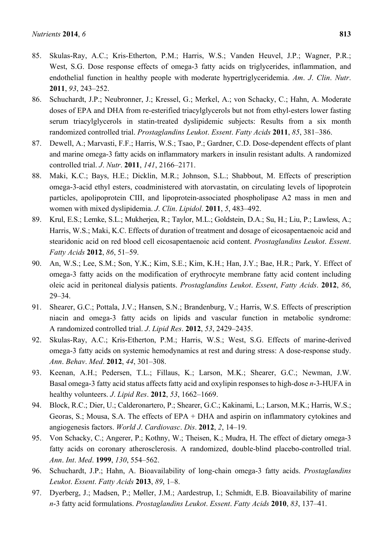- 85. Skulas-Ray, A.C.; Kris-Etherton, P.M.; Harris, W.S.; Vanden Heuvel, J.P.; Wagner, P.R.; West, S.G. Dose response effects of omega-3 fatty acids on triglycerides, inflammation, and endothelial function in healthy people with moderate hypertriglyceridemia. *Am*. *J*. *Clin*. *Nutr*. **2011**, *93*, 243–252.
- 86. Schuchardt, J.P.; Neubronner, J.; Kressel, G.; Merkel, A.; von Schacky, C.; Hahn, A. Moderate doses of EPA and DHA from re-esterified triacylglycerols but not from ethyl-esters lower fasting serum triacylglycerols in statin-treated dyslipidemic subjects: Results from a six month randomized controlled trial. *Prostaglandins Leukot*. *Essent*. *Fatty Acids* **2011**, *85*, 381–386.
- 87. Dewell, A.; Marvasti, F.F.; Harris, W.S.; Tsao, P.; Gardner, C.D. Dose-dependent effects of plant and marine omega-3 fatty acids on inflammatory markers in insulin resistant adults. A randomized controlled trial. *J*. *Nutr*. **2011**, *141*, 2166–2171.
- 88. Maki, K.C.; Bays, H.E.; Dicklin, M.R.; Johnson, S.L.; Shabbout, M. Effects of prescription omega-3-acid ethyl esters, coadministered with atorvastatin, on circulating levels of lipoprotein particles, apolipoprotein CIII, and lipoprotein-associated phospholipase A2 mass in men and women with mixed dyslipidemia. *J*. *Clin*. *Lipidol*. **2011**, *5*, 483–492.
- 89. Krul, E.S.; Lemke, S.L.; Mukherjea, R.; Taylor, M.L.; Goldstein, D.A.; Su, H.; Liu, P.; Lawless, A.; Harris, W.S.; Maki, K.C. Effects of duration of treatment and dosage of eicosapentaenoic acid and stearidonic acid on red blood cell eicosapentaenoic acid content. *Prostaglandins Leukot*. *Essent*. *Fatty Acids* **2012**, *86*, 51–59.
- 90. An, W.S.; Lee, S.M.; Son, Y.K.; Kim, S.E.; Kim, K.H.; Han, J.Y.; Bae, H.R.; Park, Y. Effect of omega-3 fatty acids on the modification of erythrocyte membrane fatty acid content including oleic acid in peritoneal dialysis patients. *Prostaglandins Leukot*. *Essent*, *Fatty Acids*. **2012**, *86*, 29–34.
- 91. Shearer, G.C.; Pottala, J.V.; Hansen, S.N.; Brandenburg, V.; Harris, W.S. Effects of prescription niacin and omega-3 fatty acids on lipids and vascular function in metabolic syndrome: A randomized controlled trial. *J*. *Lipid Res*. **2012**, *53*, 2429–2435.
- 92. Skulas-Ray, A.C.; Kris-Etherton, P.M.; Harris, W.S.; West, S.G. Effects of marine-derived omega-3 fatty acids on systemic hemodynamics at rest and during stress: A dose-response study. *Ann*. *Behav*. *Med*. **2012**, *44*, 301–308.
- 93. Keenan, A.H.; Pedersen, T.L.; Fillaus, K.; Larson, M.K.; Shearer, G.C.; Newman, J.W. Basal omega-3 fatty acid status affects fatty acid and oxylipin responses to high-dose *n*-3-HUFA in healthy volunteers. *J*. *Lipid Res*. **2012**, *53*, 1662–1669.
- 94. Block, R.C.; Dier, U.; Calderonartero, P.; Shearer, G.C.; Kakinami, L.; Larson, M.K.; Harris, W.S.; Georas, S.; Mousa, S.A. The effects of EPA + DHA and aspirin on inflammatory cytokines and angiogenesis factors. *World J*. *Cardiovasc*. *Dis*. **2012**, *2*, 14–19.
- 95. Von Schacky, C.; Angerer, P.; Kothny, W.; Theisen, K.; Mudra, H. The effect of dietary omega-3 fatty acids on coronary atherosclerosis. A randomized, double-blind placebo-controlled trial. *Ann*. *Int*. *Med*. **1999**, *130*, 554–562.
- 96. Schuchardt, J.P.; Hahn, A. Bioavailability of long-chain omega-3 fatty acids. *Prostaglandins Leukot*. *Essent*. *Fatty Acids* **2013**, *89*, 1–8.
- 97. Dyerberg, J.; Madsen, P.; Møller, J.M.; Aardestrup, I.; Schmidt, E.B. Bioavailability of marine *n*-3 fatty acid formulations. *Prostaglandins Leukot*. *Essent*. *Fatty Acids* **2010**, *83*, 137–41.